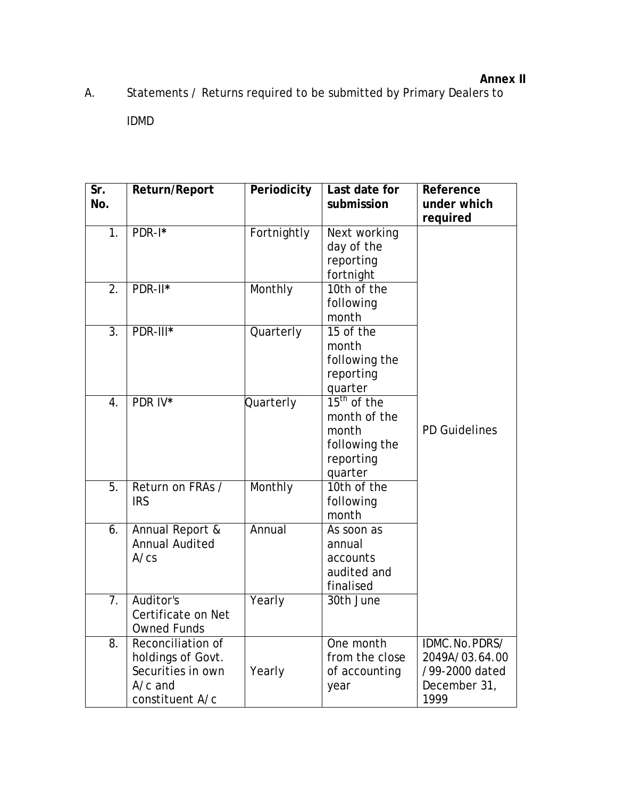## **Annex II**

A. Statements / Returns required to be submitted by Primary Dealers to

IDMD

| Sr.<br>No.       | Return/Report                                                                               | Periodicity | Last date for<br>submission                                                     | Reference<br>under which<br>required                                      |
|------------------|---------------------------------------------------------------------------------------------|-------------|---------------------------------------------------------------------------------|---------------------------------------------------------------------------|
| $\overline{1}$ . | PDR-I*                                                                                      | Fortnightly | Next working<br>day of the<br>reporting<br>fortnight                            |                                                                           |
| 2.               | PDR-II*                                                                                     | Monthly     | 10th of the<br>following<br>month                                               |                                                                           |
| 3.               | PDR-III*                                                                                    | Quarterly   | 15 of the<br>month<br>following the<br>reporting<br>quarter                     |                                                                           |
| 4.               | PDR IV*                                                                                     | Quarterly   | $15th$ of the<br>month of the<br>month<br>following the<br>reporting<br>quarter | <b>PD Guidelines</b>                                                      |
| 5.               | Return on FRAs /<br><b>IRS</b>                                                              | Monthly     | 10th of the<br>following<br>month                                               |                                                                           |
| 6.               | Annual Report &<br><b>Annual Audited</b><br>A/cs                                            | Annual      | As soon as<br>annual<br>accounts<br>audited and<br>finalised                    |                                                                           |
| $\overline{7}$ . | Auditor's<br>Certificate on Net<br><b>Owned Funds</b>                                       | Yearly      | 30th June                                                                       |                                                                           |
| 8.               | Reconciliation of<br>holdings of Govt.<br>Securities in own<br>$A/c$ and<br>constituent A/c | Yearly      | One month<br>from the close<br>of accounting<br>year                            | IDMC.No.PDRS/<br>2049A/03.64.00<br>/99-2000 dated<br>December 31,<br>1999 |